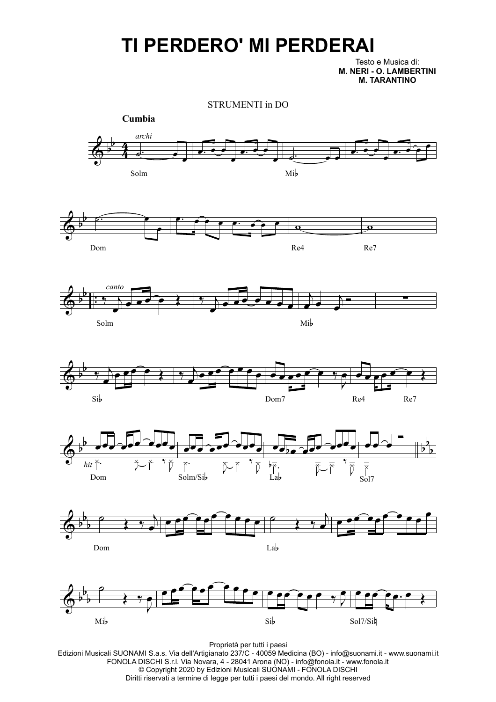## **TI PERDERO' MI PERDERAI**

Testo e Musica di: **M. NERI - O. LAMBERTINI M. TARANTINO**



Proprietà per tutti i paesi

Edizioni Musicali SUONAMI S.a.s. Via dell'Artigianato 237/C - 40059 Medicina (BO) - info@suonami.it - www.suonami.it FONOLA DISCHI S.r.l. Via Novara, 4 - 28041 Arona (NO) - info@fonola.it - www.fonola.it © Copyright 2020 by Edizioni Musicali SUONAMI - FONOLA DISCHI Diritti riservati a termine di legge per tutti i paesi del mondo. All right reserved